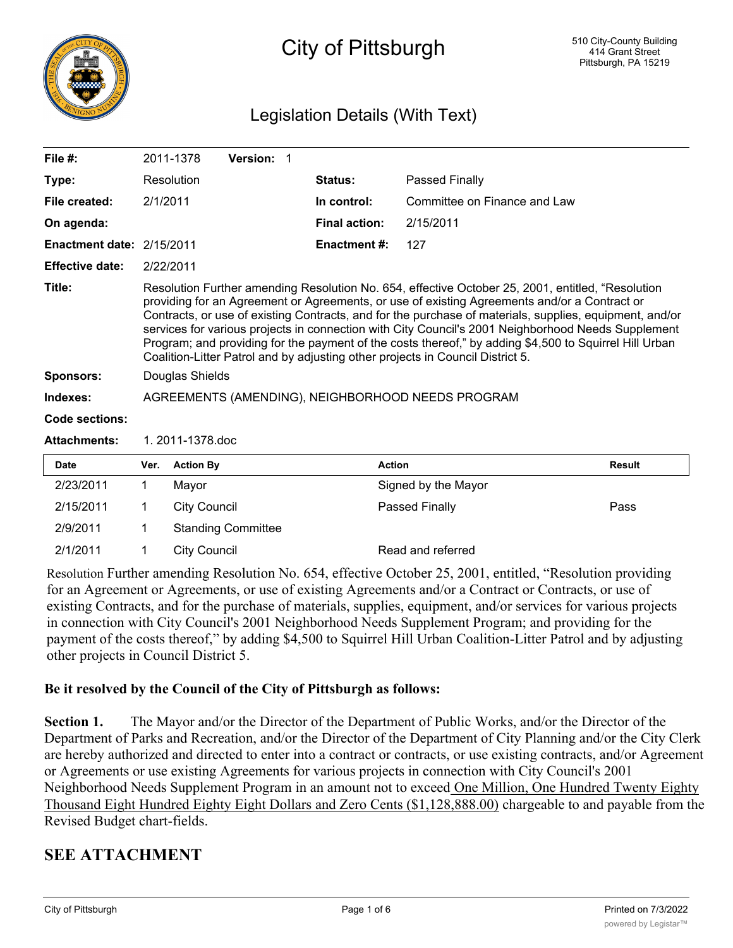

# City of Pittsburgh

## Legislation Details (With Text)

| File $#$ :                       |                                                                                                                                                                                                                                                                                                                                                                                                                                                                                                                                                                                                                | 2011-1378           | Version: 1                |  |                      |                              |               |
|----------------------------------|----------------------------------------------------------------------------------------------------------------------------------------------------------------------------------------------------------------------------------------------------------------------------------------------------------------------------------------------------------------------------------------------------------------------------------------------------------------------------------------------------------------------------------------------------------------------------------------------------------------|---------------------|---------------------------|--|----------------------|------------------------------|---------------|
| Type:                            |                                                                                                                                                                                                                                                                                                                                                                                                                                                                                                                                                                                                                | Resolution          |                           |  | Status:              | <b>Passed Finally</b>        |               |
| File created:                    | 2/1/2011                                                                                                                                                                                                                                                                                                                                                                                                                                                                                                                                                                                                       |                     |                           |  | In control:          | Committee on Finance and Law |               |
| On agenda:                       |                                                                                                                                                                                                                                                                                                                                                                                                                                                                                                                                                                                                                |                     |                           |  | <b>Final action:</b> | 2/15/2011                    |               |
| <b>Enactment date: 2/15/2011</b> |                                                                                                                                                                                                                                                                                                                                                                                                                                                                                                                                                                                                                |                     |                           |  | <b>Enactment#:</b>   | 127                          |               |
| <b>Effective date:</b>           | 2/22/2011                                                                                                                                                                                                                                                                                                                                                                                                                                                                                                                                                                                                      |                     |                           |  |                      |                              |               |
| Title:                           | Resolution Further amending Resolution No. 654, effective October 25, 2001, entitled, "Resolution<br>providing for an Agreement or Agreements, or use of existing Agreements and/or a Contract or<br>Contracts, or use of existing Contracts, and for the purchase of materials, supplies, equipment, and/or<br>services for various projects in connection with City Council's 2001 Neighborhood Needs Supplement<br>Program; and providing for the payment of the costs thereof," by adding \$4,500 to Squirrel Hill Urban<br>Coalition-Litter Patrol and by adjusting other projects in Council District 5. |                     |                           |  |                      |                              |               |
| <b>Sponsors:</b>                 |                                                                                                                                                                                                                                                                                                                                                                                                                                                                                                                                                                                                                | Douglas Shields     |                           |  |                      |                              |               |
| Indexes:                         | AGREEMENTS (AMENDING), NEIGHBORHOOD NEEDS PROGRAM                                                                                                                                                                                                                                                                                                                                                                                                                                                                                                                                                              |                     |                           |  |                      |                              |               |
| Code sections:                   |                                                                                                                                                                                                                                                                                                                                                                                                                                                                                                                                                                                                                |                     |                           |  |                      |                              |               |
| <b>Attachments:</b>              | 1.2011-1378.doc                                                                                                                                                                                                                                                                                                                                                                                                                                                                                                                                                                                                |                     |                           |  |                      |                              |               |
| <b>Date</b>                      | Ver.                                                                                                                                                                                                                                                                                                                                                                                                                                                                                                                                                                                                           | <b>Action By</b>    |                           |  | <b>Action</b>        |                              | <b>Result</b> |
| 2/23/2011                        | 1                                                                                                                                                                                                                                                                                                                                                                                                                                                                                                                                                                                                              | Mayor               |                           |  |                      | Signed by the Mayor          |               |
| 2/15/2011                        | 1                                                                                                                                                                                                                                                                                                                                                                                                                                                                                                                                                                                                              | <b>City Council</b> |                           |  |                      | Passed Finally               | Pass          |
| 2/9/2011                         | 1                                                                                                                                                                                                                                                                                                                                                                                                                                                                                                                                                                                                              |                     | <b>Standing Committee</b> |  |                      |                              |               |
| 2/1/2011                         | 1                                                                                                                                                                                                                                                                                                                                                                                                                                                                                                                                                                                                              | <b>City Council</b> |                           |  |                      | Read and referred            |               |

Resolution Further amending Resolution No. 654, effective October 25, 2001, entitled, "Resolution providing for an Agreement or Agreements, or use of existing Agreements and/or a Contract or Contracts, or use of existing Contracts, and for the purchase of materials, supplies, equipment, and/or services for various projects in connection with City Council's 2001 Neighborhood Needs Supplement Program; and providing for the payment of the costs thereof," by adding \$4,500 to Squirrel Hill Urban Coalition-Litter Patrol and by adjusting other projects in Council District 5.

#### **Be it resolved by the Council of the City of Pittsburgh as follows:**

**Section 1.** The Mayor and/or the Director of the Department of Public Works, and/or the Director of the Department of Parks and Recreation, and/or the Director of the Department of City Planning and/or the City Clerk are hereby authorized and directed to enter into a contract or contracts, or use existing contracts, and/or Agreement or Agreements or use existing Agreements for various projects in connection with City Council's 2001 Neighborhood Needs Supplement Program in an amount not to exceed One Million, One Hundred Twenty Eighty Thousand Eight Hundred Eighty Eight Dollars and Zero Cents (\$1,128,888.00) chargeable to and payable from the Revised Budget chart-fields.

## **SEE ATTACHMENT**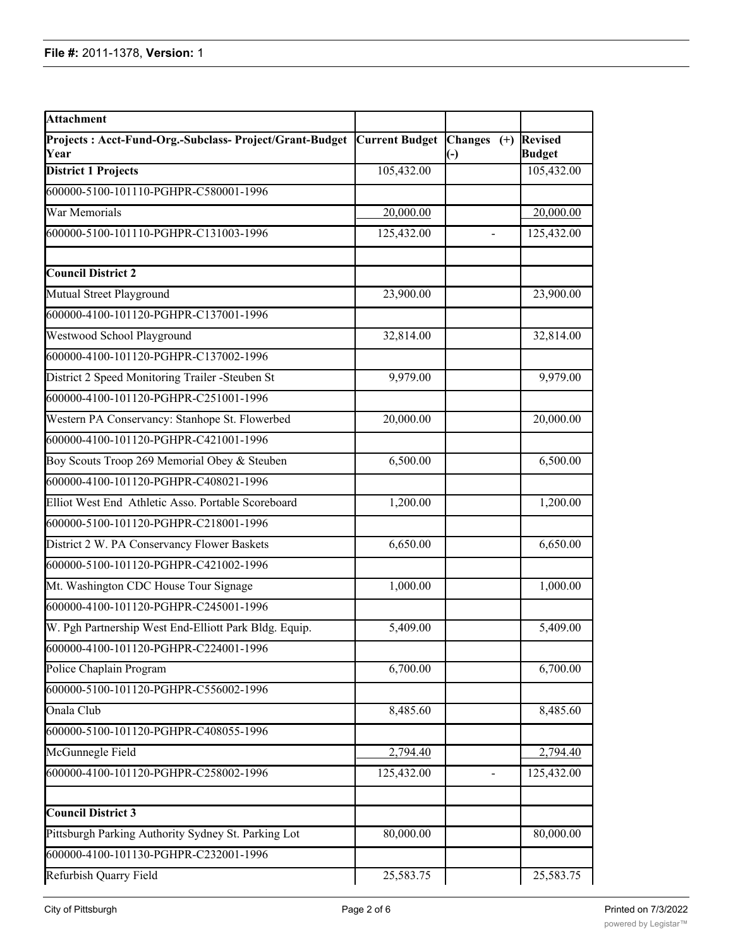| <b>Attachment</b>                                               |                       |                                               |                                 |
|-----------------------------------------------------------------|-----------------------|-----------------------------------------------|---------------------------------|
| Projects: Acct-Fund-Org.-Subclass- Project/Grant-Budget<br>Year | <b>Current Budget</b> | <b>Changes</b><br>$(+)$<br>$(\textnormal{-})$ | <b>Revised</b><br><b>Budget</b> |
| <b>District 1 Projects</b>                                      | 105,432.00            |                                               | 105,432.00                      |
| 600000-5100-101110-PGHPR-C580001-1996                           |                       |                                               |                                 |
| War Memorials                                                   | 20,000.00             |                                               | 20,000.00                       |
| 600000-5100-101110-PGHPR-C131003-1996                           | 125,432.00            |                                               | 125,432.00                      |
| <b>Council District 2</b>                                       |                       |                                               |                                 |
| Mutual Street Playground                                        | 23,900.00             |                                               | 23,900.00                       |
| 600000-4100-101120-PGHPR-C137001-1996                           |                       |                                               |                                 |
| Westwood School Playground                                      | 32,814.00             |                                               | 32,814.00                       |
| 600000-4100-101120-PGHPR-C137002-1996                           |                       |                                               |                                 |
| District 2 Speed Monitoring Trailer -Steuben St                 | 9,979.00              |                                               | 9,979.00                        |
| 600000-4100-101120-PGHPR-C251001-1996                           |                       |                                               |                                 |
| Western PA Conservancy: Stanhope St. Flowerbed                  | 20,000.00             |                                               | 20,000.00                       |
| 600000-4100-101120-PGHPR-C421001-1996                           |                       |                                               |                                 |
| Boy Scouts Troop 269 Memorial Obey & Steuben                    | 6,500.00              |                                               | 6,500.00                        |
| 600000-4100-101120-PGHPR-C408021-1996                           |                       |                                               |                                 |
| Elliot West End Athletic Asso. Portable Scoreboard              | 1,200.00              |                                               | 1,200.00                        |
| 600000-5100-101120-PGHPR-C218001-1996                           |                       |                                               |                                 |
| District 2 W. PA Conservancy Flower Baskets                     | 6,650.00              |                                               | 6,650.00                        |
| 600000-5100-101120-PGHPR-C421002-1996                           |                       |                                               |                                 |
| Mt. Washington CDC House Tour Signage                           | 1,000.00              |                                               | 1,000.00                        |
| 600000-4100-101120-PGHPR-C245001-1996                           |                       |                                               |                                 |
| W. Pgh Partnership West End-Elliott Park Bldg. Equip.           | 5,409.00              |                                               | 5,409.00                        |
| 600000-4100-101120-PGHPR-C224001-1996                           |                       |                                               |                                 |
| Police Chaplain Program                                         | 6,700.00              |                                               | 6,700.00                        |
| 600000-5100-101120-PGHPR-C556002-1996                           |                       |                                               |                                 |
| Onala Club                                                      | 8,485.60              |                                               | 8,485.60                        |
| 600000-5100-101120-PGHPR-C408055-1996                           |                       |                                               |                                 |
| McGunnegle Field                                                | 2,794.40              |                                               | 2,794.40                        |
| 600000-4100-101120-PGHPR-C258002-1996                           | 125,432.00            | $\overline{\phantom{a}}$                      | 125,432.00                      |
| <b>Council District 3</b>                                       |                       |                                               |                                 |
| Pittsburgh Parking Authority Sydney St. Parking Lot             | 80,000.00             |                                               | 80,000.00                       |
| 600000-4100-101130-PGHPR-C232001-1996                           |                       |                                               |                                 |
| Refurbish Quarry Field                                          | 25,583.75             |                                               | 25,583.75                       |

600000-5100-101130-PGHPR-C102003-1996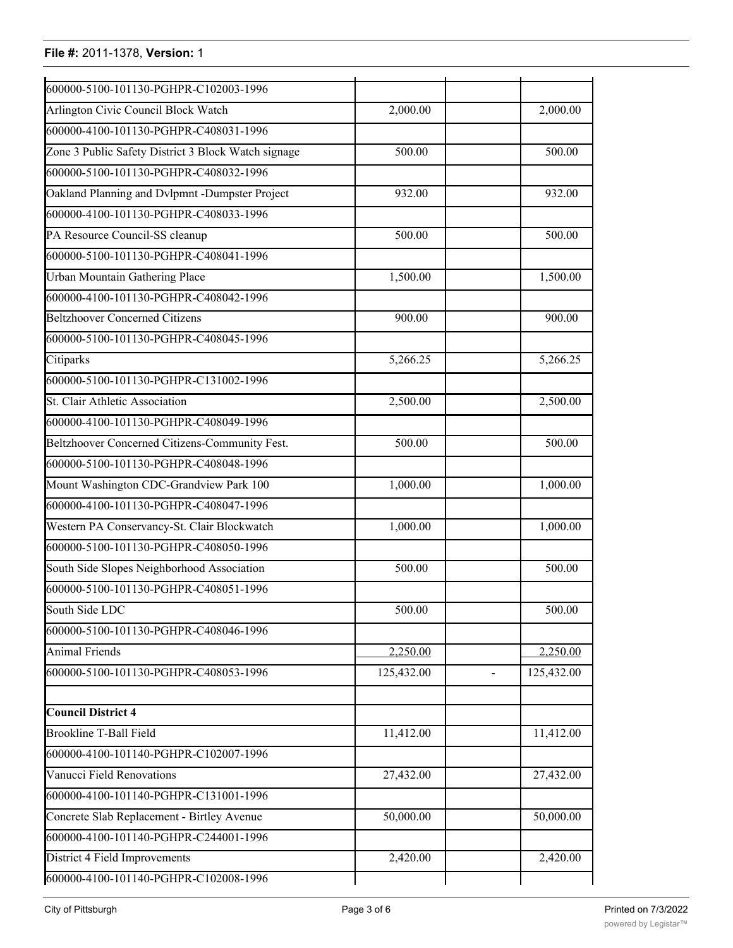| 600000-5100-101130-PGHPR-C102003-1996               |            |                              |
|-----------------------------------------------------|------------|------------------------------|
| Arlington Civic Council Block Watch                 | 2,000.00   | 2,000.00                     |
| 600000-4100-101130-PGHPR-C408031-1996               |            |                              |
| Zone 3 Public Safety District 3 Block Watch signage | 500.00     | 500.00                       |
| 600000-5100-101130-PGHPR-C408032-1996               |            |                              |
| Oakland Planning and Dvlpmnt -Dumpster Project      | 932.00     | 932.00                       |
| 600000-4100-101130-PGHPR-C408033-1996               |            |                              |
| PA Resource Council-SS cleanup                      | 500.00     | 500.00                       |
| 600000-5100-101130-PGHPR-C408041-1996               |            |                              |
| <b>Urban Mountain Gathering Place</b>               | 1,500.00   | 1,500.00                     |
| 600000-4100-101130-PGHPR-C408042-1996               |            |                              |
| <b>Beltzhoover Concerned Citizens</b>               | 900.00     | 900.00                       |
| 600000-5100-101130-PGHPR-C408045-1996               |            |                              |
| Citiparks                                           | 5,266.25   | 5,266.25                     |
| 600000-5100-101130-PGHPR-C131002-1996               |            |                              |
| St. Clair Athletic Association                      | 2,500.00   | 2,500.00                     |
| 600000-4100-101130-PGHPR-C408049-1996               |            |                              |
| Beltzhoover Concerned Citizens-Community Fest.      | 500.00     | 500.00                       |
| 600000-5100-101130-PGHPR-C408048-1996               |            |                              |
| Mount Washington CDC-Grandview Park 100             | 1,000.00   | 1,000.00                     |
| 600000-4100-101130-PGHPR-C408047-1996               |            |                              |
| Western PA Conservancy-St. Clair Blockwatch         | 1,000.00   | 1,000.00                     |
| 600000-5100-101130-PGHPR-C408050-1996               |            |                              |
| South Side Slopes Neighborhood Association          | 500.00     | 500.00                       |
| 600000-5100-101130-PGHPR-C408051-1996               |            |                              |
| South Side LDC                                      | 500.00     | 500.00                       |
| 600000-5100-101130-PGHPR-C408046-1996               |            |                              |
| <b>Animal Friends</b>                               | 2,250.00   | 2,250.00                     |
| 600000-5100-101130-PGHPR-C408053-1996               | 125,432.00 | 125,432.00<br>$\blacksquare$ |
| <b>Council District 4</b>                           |            |                              |
| <b>Brookline T-Ball Field</b>                       | 11,412.00  | 11,412.00                    |
| 600000-4100-101140-PGHPR-C102007-1996               |            |                              |
| Vanucci Field Renovations                           | 27,432.00  | 27,432.00                    |
| 600000-4100-101140-PGHPR-C131001-1996               |            |                              |
| Concrete Slab Replacement - Birtley Avenue          | 50,000.00  | 50,000.00                    |
| 600000-4100-101140-PGHPR-C244001-1996               |            |                              |
| District 4 Field Improvements                       | 2,420.00   | 2,420.00                     |
| 600000-4100-101140-PGHPR-C102008-1996               |            |                              |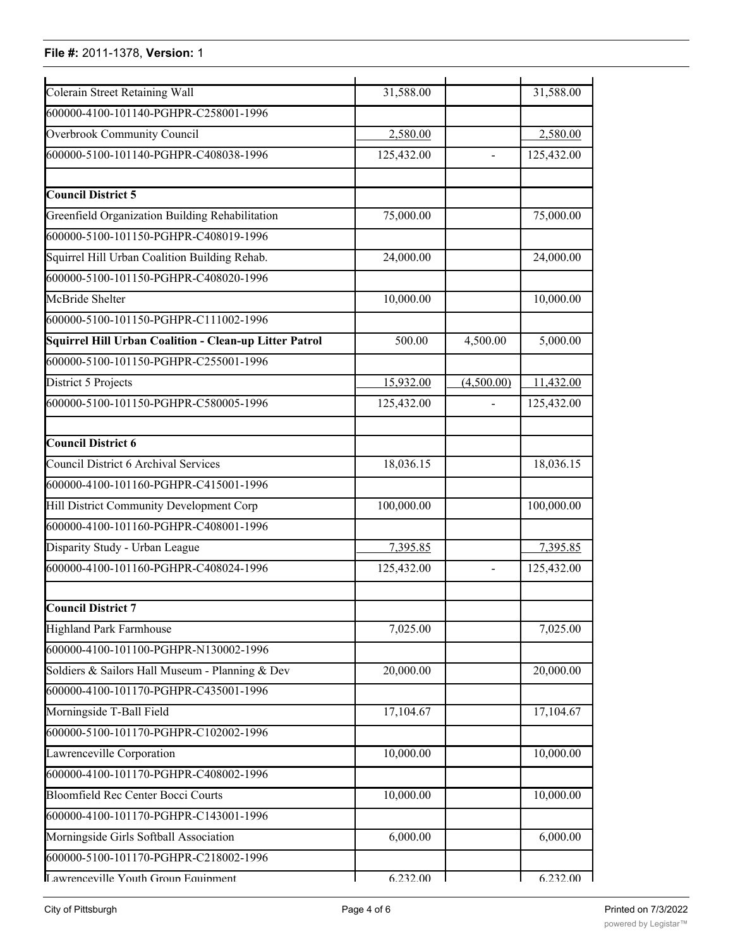| Colerain Street Retaining Wall                         | 31,588.00  |                | 31,588.00  |
|--------------------------------------------------------|------------|----------------|------------|
| 600000-4100-101140-PGHPR-C258001-1996                  |            |                |            |
|                                                        |            |                |            |
| <b>Overbrook Community Council</b>                     | 2,580.00   |                | 2,580.00   |
| 600000-5100-101140-PGHPR-C408038-1996                  | 125,432.00 | $\frac{1}{2}$  | 125,432.00 |
| <b>Council District 5</b>                              |            |                |            |
| Greenfield Organization Building Rehabilitation        | 75,000.00  |                | 75,000.00  |
| 600000-5100-101150-PGHPR-C408019-1996                  |            |                |            |
| Squirrel Hill Urban Coalition Building Rehab.          | 24,000.00  |                | 24,000.00  |
| 600000-5100-101150-PGHPR-C408020-1996                  |            |                |            |
| McBride Shelter                                        | 10,000.00  |                | 10,000.00  |
| 600000-5100-101150-PGHPR-C111002-1996                  |            |                |            |
| Squirrel Hill Urban Coalition - Clean-up Litter Patrol | 500.00     | 4,500.00       | 5,000.00   |
| 600000-5100-101150-PGHPR-C255001-1996                  |            |                |            |
| District 5 Projects                                    | 15,932.00  | (4,500.00)     | 11,432.00  |
| 600000-5100-101150-PGHPR-C580005-1996                  | 125,432.00 |                | 125,432.00 |
| <b>Council District 6</b>                              |            |                |            |
| <b>Council District 6 Archival Services</b>            | 18,036.15  |                | 18,036.15  |
| 600000-4100-101160-PGHPR-C415001-1996                  |            |                |            |
| Hill District Community Development Corp               | 100,000.00 |                | 100,000.00 |
| 600000-4100-101160-PGHPR-C408001-1996                  |            |                |            |
| Disparity Study - Urban League                         | 7,395.85   |                | 7,395.85   |
| 600000-4100-101160-PGHPR-C408024-1996                  | 125,432.00 | $\overline{a}$ | 125,432.00 |
| Council District 7                                     |            |                |            |
| Highland Park Farmhouse                                | 7,025.00   |                | 7,025.00   |
| 600000-4100-101100-PGHPR-N130002-1996                  |            |                |            |
| Soldiers & Sailors Hall Museum - Planning & Dev        | 20,000.00  |                | 20,000.00  |
| 600000-4100-101170-PGHPR-C435001-1996                  |            |                |            |
| Morningside T-Ball Field                               | 17,104.67  |                | 17,104.67  |
| 600000-5100-101170-PGHPR-C102002-1996                  |            |                |            |
| Lawrenceville Corporation                              | 10,000.00  |                | 10,000.00  |
| 600000-4100-101170-PGHPR-C408002-1996                  |            |                |            |
| Bloomfield Rec Center Bocci Courts                     | 10,000.00  |                | 10,000.00  |
| 600000-4100-101170-PGHPR-C143001-1996                  |            |                |            |
| Morningside Girls Softball Association                 | 6,000.00   |                | 6,000.00   |
| 600000-5100-101170-PGHPR-C218002-1996                  |            |                |            |
| Lawrenceville Vouth Groun Equinment                    | 6 232 00   |                | 6 232 00   |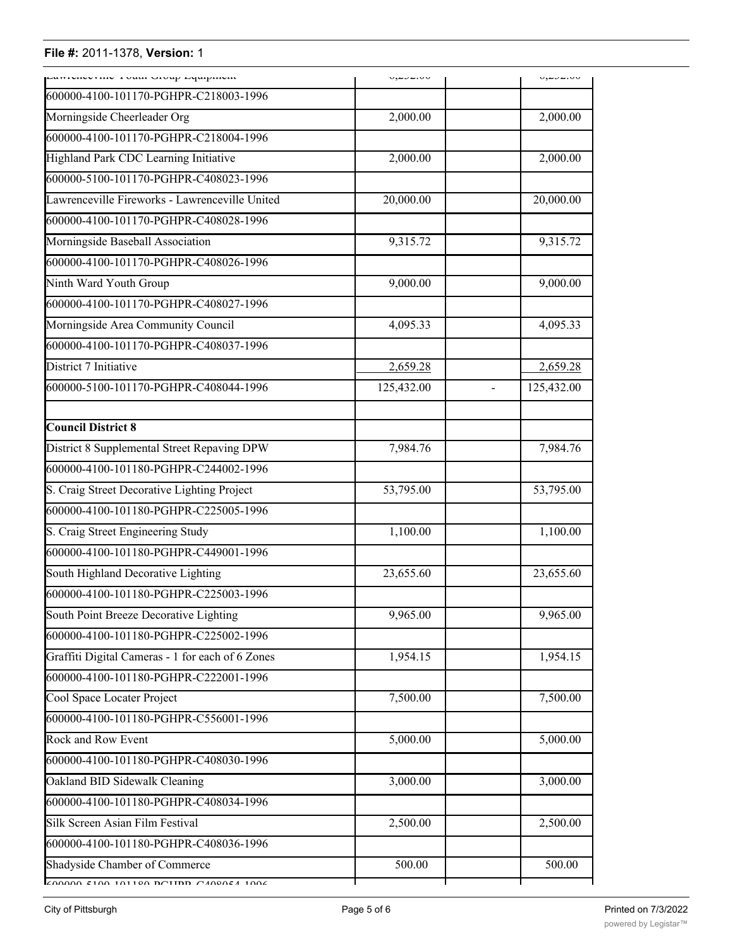| cumviviviniu x vuur vivup cyuipinum                                                          | ∿⊶⊶بصوب    | いっちょういいい                     |
|----------------------------------------------------------------------------------------------|------------|------------------------------|
| 600000-4100-101170-PGHPR-C218003-1996                                                        |            |                              |
| Morningside Cheerleader Org                                                                  | 2,000.00   | 2,000.00                     |
| 600000-4100-101170-PGHPR-C218004-1996                                                        |            |                              |
| Highland Park CDC Learning Initiative                                                        | 2,000.00   | 2,000.00                     |
| 600000-5100-101170-PGHPR-C408023-1996                                                        |            |                              |
| Lawrenceville Fireworks - Lawrenceville United                                               | 20,000.00  | 20,000.00                    |
| 600000-4100-101170-PGHPR-C408028-1996                                                        |            |                              |
| Morningside Baseball Association                                                             | 9,315.72   | 9,315.72                     |
| 600000-4100-101170-PGHPR-C408026-1996                                                        |            |                              |
| Ninth Ward Youth Group                                                                       | 9,000.00   | 9,000.00                     |
| 600000-4100-101170-PGHPR-C408027-1996                                                        |            |                              |
| Morningside Area Community Council                                                           | 4,095.33   | 4,095.33                     |
| 600000-4100-101170-PGHPR-C408037-1996                                                        |            |                              |
| District 7 Initiative                                                                        | 2,659.28   | 2,659.28                     |
| 600000-5100-101170-PGHPR-C408044-1996                                                        | 125,432.00 | 125,432.00<br>$\overline{a}$ |
|                                                                                              |            |                              |
| <b>Council District 8</b>                                                                    |            |                              |
| District 8 Supplemental Street Repaving DPW                                                  | 7,984.76   | 7,984.76                     |
| 600000-4100-101180-PGHPR-C244002-1996                                                        |            |                              |
| S. Craig Street Decorative Lighting Project                                                  | 53,795.00  | 53,795.00                    |
| 600000-4100-101180-PGHPR-C225005-1996                                                        |            |                              |
| S. Craig Street Engineering Study                                                            | 1,100.00   | 1,100.00                     |
| 600000-4100-101180-PGHPR-C449001-1996                                                        |            |                              |
| South Highland Decorative Lighting                                                           | 23,655.60  | 23,655.60                    |
| 600000-4100-101180-PGHPR-C225003-1996                                                        |            |                              |
| South Point Breeze Decorative Lighting                                                       | 9,965.00   | 9,965.00                     |
| 600000-4100-101180-PGHPR-C225002-1996                                                        |            |                              |
| Graffiti Digital Cameras - 1 for each of 6 Zones                                             | 1,954.15   | 1,954.15                     |
| 600000-4100-101180-PGHPR-C222001-1996                                                        |            |                              |
| Cool Space Locater Project                                                                   | 7,500.00   | 7,500.00                     |
| 600000-4100-101180-PGHPR-C556001-1996                                                        |            |                              |
| Rock and Row Event                                                                           | 5,000.00   | 5,000.00                     |
| 600000-4100-101180-PGHPR-C408030-1996                                                        |            |                              |
| Oakland BID Sidewalk Cleaning                                                                | 3,000.00   | 3,000.00                     |
| 600000-4100-101180-PGHPR-C408034-1996                                                        |            |                              |
| Silk Screen Asian Film Festival                                                              | 2,500.00   | 2,500.00                     |
| 600000-4100-101180-PGHPR-C408036-1996                                                        |            |                              |
| Shadyside Chamber of Commerce                                                                | 500.00     | 500.00                       |
| $\sqrt{100000}$ $\sqrt{100}$ $\sqrt{101100}$ $\sqrt{100000}$ $\sqrt{100000}$ $\sqrt{100000}$ |            |                              |